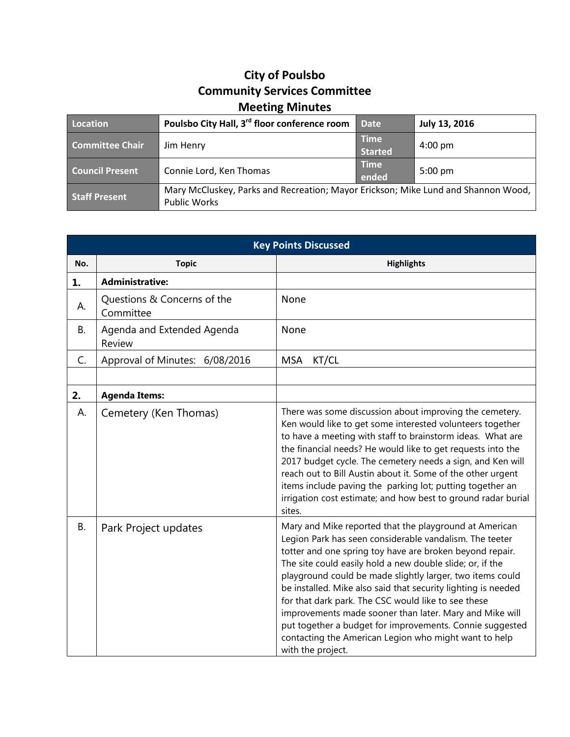## **City of Poulsbo Community Services Committee Meeting Minutes**

| Location               | Poulsbo City Hall, 3 <sup>rd</sup> floor conference room                                                 | <b>Date</b>                   | July 13, 2016     |
|------------------------|----------------------------------------------------------------------------------------------------------|-------------------------------|-------------------|
| <b>Committee Chair</b> | Jim Henry                                                                                                | <b>Time</b><br><b>Started</b> | $4:00 \text{ pm}$ |
| <b>Council Present</b> | Connie Lord, Ken Thomas                                                                                  | <b>Time</b><br>ended          | $5:00 \text{ pm}$ |
| <b>Staff Present</b>   | Mary McCluskey, Parks and Recreation; Mayor Erickson; Mike Lund and Shannon Wood,<br><b>Public Works</b> |                               |                   |

| <b>Key Points Discussed</b> |                                          |                                                                                                                                                                                                                                                                                                                                                                                                                                                                                                                                                                                                                                      |  |
|-----------------------------|------------------------------------------|--------------------------------------------------------------------------------------------------------------------------------------------------------------------------------------------------------------------------------------------------------------------------------------------------------------------------------------------------------------------------------------------------------------------------------------------------------------------------------------------------------------------------------------------------------------------------------------------------------------------------------------|--|
| No.                         | <b>Topic</b>                             | <b>Highlights</b>                                                                                                                                                                                                                                                                                                                                                                                                                                                                                                                                                                                                                    |  |
| 1.                          | <b>Administrative:</b>                   |                                                                                                                                                                                                                                                                                                                                                                                                                                                                                                                                                                                                                                      |  |
| А.                          | Questions & Concerns of the<br>Committee | None                                                                                                                                                                                                                                                                                                                                                                                                                                                                                                                                                                                                                                 |  |
| В.                          | Agenda and Extended Agenda<br>Review     | None                                                                                                                                                                                                                                                                                                                                                                                                                                                                                                                                                                                                                                 |  |
| C.                          | Approval of Minutes: 6/08/2016           | <b>MSA</b><br>KT/CL                                                                                                                                                                                                                                                                                                                                                                                                                                                                                                                                                                                                                  |  |
|                             |                                          |                                                                                                                                                                                                                                                                                                                                                                                                                                                                                                                                                                                                                                      |  |
| 2.                          | <b>Agenda Items:</b>                     |                                                                                                                                                                                                                                                                                                                                                                                                                                                                                                                                                                                                                                      |  |
| А.                          | Cemetery (Ken Thomas)                    | There was some discussion about improving the cemetery.<br>Ken would like to get some interested volunteers together<br>to have a meeting with staff to brainstorm ideas. What are<br>the financial needs? He would like to get requests into the<br>2017 budget cycle. The cemetery needs a sign, and Ken will<br>reach out to Bill Austin about it. Some of the other urgent<br>items include paving the parking lot; putting together an<br>irrigation cost estimate; and how best to ground radar burial<br>sites.                                                                                                               |  |
| В.                          | Park Project updates                     | Mary and Mike reported that the playground at American<br>Legion Park has seen considerable vandalism. The teeter<br>totter and one spring toy have are broken beyond repair.<br>The site could easily hold a new double slide; or, if the<br>playground could be made slightly larger, two items could<br>be installed. Mike also said that security lighting is needed<br>for that dark park. The CSC would like to see these<br>improvements made sooner than later. Mary and Mike will<br>put together a budget for improvements. Connie suggested<br>contacting the American Legion who might want to help<br>with the project. |  |